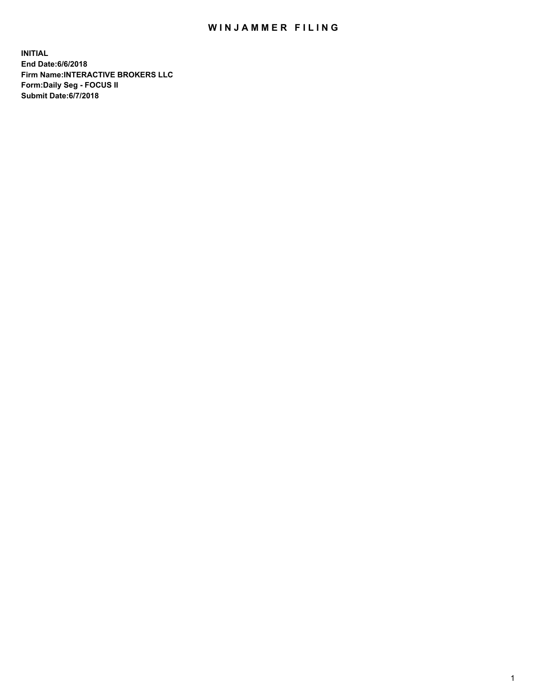## WIN JAMMER FILING

**INITIAL End Date:6/6/2018 Firm Name:INTERACTIVE BROKERS LLC Form:Daily Seg - FOCUS II Submit Date:6/7/2018**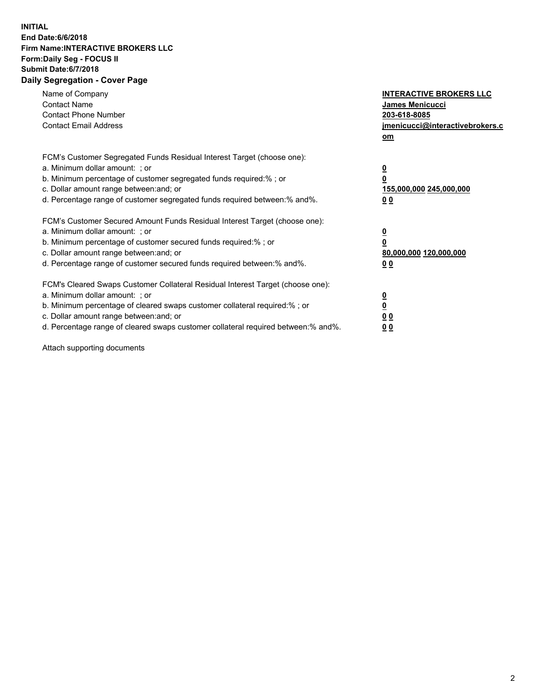## **INITIAL End Date:6/6/2018 Firm Name:INTERACTIVE BROKERS LLC Form:Daily Seg - FOCUS II Submit Date:6/7/2018 Daily Segregation - Cover Page**

| Name of Company<br><b>Contact Name</b><br><b>Contact Phone Number</b><br><b>Contact Email Address</b>                                                                                                                                                                                                                          | <b>INTERACTIVE BROKERS LLC</b><br><b>James Menicucci</b><br>203-618-8085<br>jmenicucci@interactivebrokers.c<br>om |
|--------------------------------------------------------------------------------------------------------------------------------------------------------------------------------------------------------------------------------------------------------------------------------------------------------------------------------|-------------------------------------------------------------------------------------------------------------------|
| FCM's Customer Segregated Funds Residual Interest Target (choose one):<br>a. Minimum dollar amount: ; or<br>b. Minimum percentage of customer segregated funds required:% ; or<br>c. Dollar amount range between: and; or<br>d. Percentage range of customer segregated funds required between:% and%.                         | $\overline{\mathbf{0}}$<br>0<br>155,000,000 245,000,000<br>0 <sub>0</sub>                                         |
| FCM's Customer Secured Amount Funds Residual Interest Target (choose one):<br>a. Minimum dollar amount: ; or<br>b. Minimum percentage of customer secured funds required:%; or<br>c. Dollar amount range between: and; or<br>d. Percentage range of customer secured funds required between: % and %.                          | $\overline{\mathbf{0}}$<br>$\overline{\mathbf{0}}$<br>80,000,000 120,000,000<br>00                                |
| FCM's Cleared Swaps Customer Collateral Residual Interest Target (choose one):<br>a. Minimum dollar amount: ; or<br>b. Minimum percentage of cleared swaps customer collateral required:% ; or<br>c. Dollar amount range between: and; or<br>d. Percentage range of cleared swaps customer collateral required between:% and%. | $\overline{\mathbf{0}}$<br>$\overline{\mathbf{0}}$<br>0 <sub>0</sub><br>0 <sub>0</sub>                            |

Attach supporting documents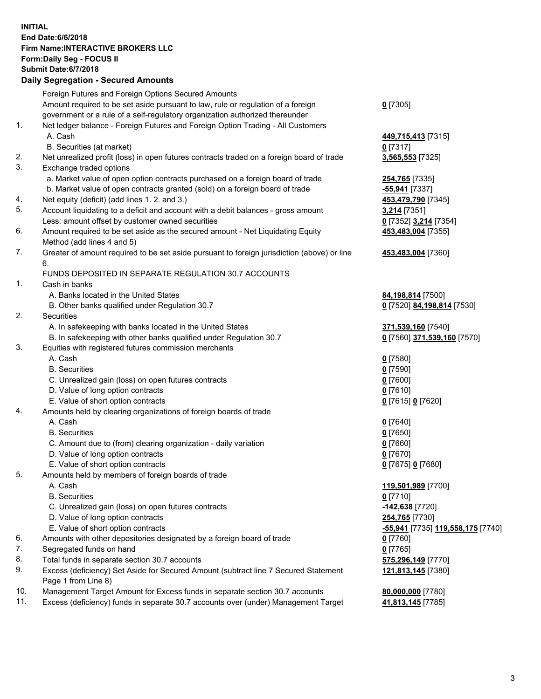## **INITIAL End Date:6/6/2018 Firm Name:INTERACTIVE BROKERS LLC Form:Daily Seg - FOCUS II Submit Date:6/7/2018 Daily Segregation - Secured Amounts**

|     | Foreign Futures and Foreign Options Secured Amounts                                         |                                   |
|-----|---------------------------------------------------------------------------------------------|-----------------------------------|
|     | Amount required to be set aside pursuant to law, rule or regulation of a foreign            | $0$ [7305]                        |
|     | government or a rule of a self-regulatory organization authorized thereunder                |                                   |
| 1.  | Net ledger balance - Foreign Futures and Foreign Option Trading - All Customers             |                                   |
|     | A. Cash                                                                                     | 449,715,413 [7315]                |
|     | B. Securities (at market)                                                                   | $0$ [7317]                        |
| 2.  | Net unrealized profit (loss) in open futures contracts traded on a foreign board of trade   | 3,565,553 [7325]                  |
| 3.  | Exchange traded options                                                                     |                                   |
|     | a. Market value of open option contracts purchased on a foreign board of trade              | 254,765 [7335]                    |
|     | b. Market value of open contracts granted (sold) on a foreign board of trade                | -55,941 [7337]                    |
| 4.  | Net equity (deficit) (add lines 1.2. and 3.)                                                | 453,479,790 [7345]                |
| 5.  | Account liquidating to a deficit and account with a debit balances - gross amount           | 3,214 [7351]                      |
|     | Less: amount offset by customer owned securities                                            | 0 [7352] 3,214 [7354]             |
| 6.  | Amount required to be set aside as the secured amount - Net Liquidating Equity              | 453,483,004 [7355]                |
|     | Method (add lines 4 and 5)                                                                  |                                   |
| 7.  | Greater of amount required to be set aside pursuant to foreign jurisdiction (above) or line | 453,483,004 [7360]                |
|     | 6.                                                                                          |                                   |
|     | FUNDS DEPOSITED IN SEPARATE REGULATION 30.7 ACCOUNTS                                        |                                   |
| 1.  | Cash in banks                                                                               |                                   |
|     | A. Banks located in the United States                                                       | 84,198,814 [7500]                 |
|     | B. Other banks qualified under Regulation 30.7                                              | 0 [7520] 84,198,814 [7530]        |
| 2.  | Securities                                                                                  |                                   |
|     | A. In safekeeping with banks located in the United States                                   | 371,539,160 [7540]                |
|     | B. In safekeeping with other banks qualified under Regulation 30.7                          | 0 [7560] 371,539,160 [7570]       |
| 3.  | Equities with registered futures commission merchants                                       |                                   |
|     | A. Cash                                                                                     | $0$ [7580]                        |
|     | <b>B.</b> Securities                                                                        | $0$ [7590]                        |
|     | C. Unrealized gain (loss) on open futures contracts                                         | $0$ [7600]                        |
|     | D. Value of long option contracts                                                           | $0$ [7610]                        |
|     | E. Value of short option contracts                                                          | 0 [7615] 0 [7620]                 |
| 4.  | Amounts held by clearing organizations of foreign boards of trade                           |                                   |
|     | A. Cash                                                                                     | $0$ [7640]                        |
|     | <b>B.</b> Securities                                                                        | $0$ [7650]                        |
|     | C. Amount due to (from) clearing organization - daily variation                             | $0$ [7660]                        |
|     | D. Value of long option contracts                                                           | $0$ [7670]                        |
|     | E. Value of short option contracts                                                          | 0 [7675] 0 [7680]                 |
| 5.  | Amounts held by members of foreign boards of trade                                          |                                   |
|     | A. Cash                                                                                     | 119,501,989 [7700]                |
|     | <b>B.</b> Securities                                                                        | $0$ [7710]                        |
|     | C. Unrealized gain (loss) on open futures contracts                                         | -142,638 [7720]                   |
|     | D. Value of long option contracts                                                           | 254,765 [7730]                    |
|     | E. Value of short option contracts                                                          | -55,941 [7735] 119,558,175 [7740] |
| 6.  | Amounts with other depositories designated by a foreign board of trade                      | $0$ [7760]                        |
| 7.  | Segregated funds on hand                                                                    | $0$ [7765]                        |
| 8.  | Total funds in separate section 30.7 accounts                                               | 575,296,149 [7770]                |
| 9.  | Excess (deficiency) Set Aside for Secured Amount (subtract line 7 Secured Statement         | 121,813,145 [7380]                |
|     | Page 1 from Line 8)                                                                         |                                   |
| 10. | Management Target Amount for Excess funds in separate section 30.7 accounts                 | 80,000,000 [7780]                 |
| 11. | Excess (deficiency) funds in separate 30.7 accounts over (under) Management Target          | 41,813,145 [7785]                 |
|     |                                                                                             |                                   |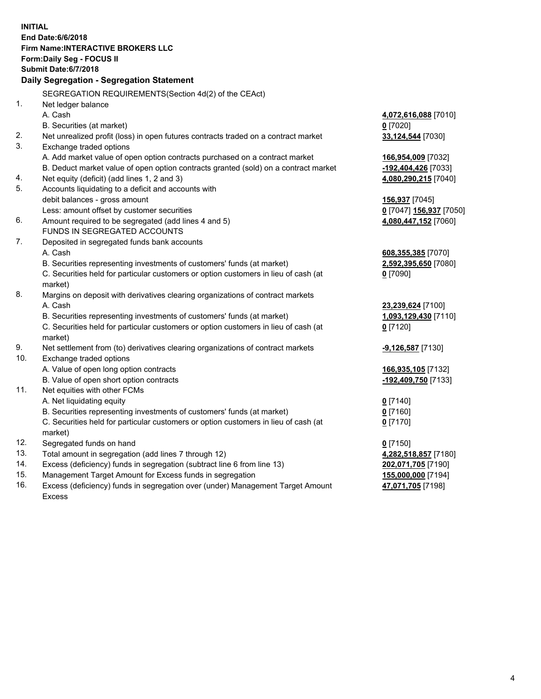**INITIAL End Date:6/6/2018 Firm Name:INTERACTIVE BROKERS LLC Form:Daily Seg - FOCUS II Submit Date:6/7/2018 Daily Segregation - Segregation Statement** SEGREGATION REQUIREMENTS(Section 4d(2) of the CEAct) 1. Net ledger balance A. Cash **4,072,616,088** [7010] B. Securities (at market) **0** [7020] 2. Net unrealized profit (loss) in open futures contracts traded on a contract market **33,124,544** [7030] 3. Exchange traded options A. Add market value of open option contracts purchased on a contract market **166,954,009** [7032] B. Deduct market value of open option contracts granted (sold) on a contract market **-192,404,426** [7033] 4. Net equity (deficit) (add lines 1, 2 and 3) **4,080,290,215** [7040] 5. Accounts liquidating to a deficit and accounts with debit balances - gross amount **156,937** [7045] Less: amount offset by customer securities **0** [7047] **156,937** [7050] 6. Amount required to be segregated (add lines 4 and 5) **4,080,447,152** [7060] FUNDS IN SEGREGATED ACCOUNTS 7. Deposited in segregated funds bank accounts A. Cash **608,355,385** [7070] B. Securities representing investments of customers' funds (at market) **2,592,395,650** [7080] C. Securities held for particular customers or option customers in lieu of cash (at market) **0** [7090] 8. Margins on deposit with derivatives clearing organizations of contract markets A. Cash **23,239,624** [7100] B. Securities representing investments of customers' funds (at market) **1,093,129,430** [7110] C. Securities held for particular customers or option customers in lieu of cash (at market) **0** [7120] 9. Net settlement from (to) derivatives clearing organizations of contract markets **-9,126,587** [7130] 10. Exchange traded options A. Value of open long option contracts **166,935,105** [7132] B. Value of open short option contracts **-192,409,750** [7133] 11. Net equities with other FCMs A. Net liquidating equity **0** [7140] B. Securities representing investments of customers' funds (at market) **0** [7160] C. Securities held for particular customers or option customers in lieu of cash (at market) **0** [7170] 12. Segregated funds on hand **0** [7150] 13. Total amount in segregation (add lines 7 through 12) **4,282,518,857** [7180] 14. Excess (deficiency) funds in segregation (subtract line 6 from line 13) **202,071,705** [7190] 15. Management Target Amount for Excess funds in segregation **155,000,000** [7194] 16. Excess (deficiency) funds in segregation over (under) Management Target Amount **47,071,705** [7198]

Excess